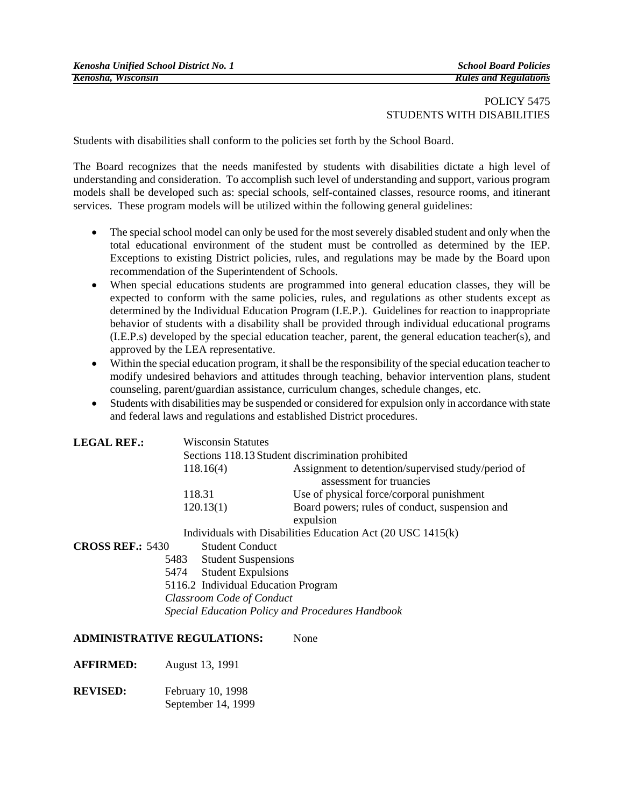## POLICY 5475 STUDENTS WITH DISABILITIES

Students with disabilities shall conform to the policies set forth by the School Board.

The Board recognizes that the needs manifested by students with disabilities dictate a high level of understanding and consideration. To accomplish such level of understanding and support, various program models shall be developed such as: special schools, self-contained classes, resource rooms, and itinerant services. These program models will be utilized within the following general guidelines:

- The special school model can only be used for the most severely disabled student and only when the total educational environment of the student must be controlled as determined by the IEP. Exceptions to existing District policies, rules, and regulations may be made by the Board upon recommendation of the Superintendent of Schools.
- When special educations students are programmed into general education classes, they will be expected to conform with the same policies, rules, and regulations as other students except as determined by the Individual Education Program (I.E.P.). Guidelines for reaction to inappropriate behavior of students with a disability shall be provided through individual educational programs (I.E.P.s) developed by the special education teacher, parent, the general education teacher(s), and approved by the LEA representative.
- Within the special education program, it shall be the responsibility of the special education teacher to modify undesired behaviors and attitudes through teaching, behavior intervention plans, student counseling, parent/guardian assistance, curriculum changes, schedule changes, etc.
- Students with disabilities may be suspended or considered for expulsion only in accordance with state and federal laws and regulations and established District procedures.

| <b>LEGAL REF.:</b>      |                                                   | <b>Wisconsin Statutes</b>           |                                                                                |  |
|-------------------------|---------------------------------------------------|-------------------------------------|--------------------------------------------------------------------------------|--|
|                         | Sections 118.13 Student discrimination prohibited |                                     |                                                                                |  |
|                         | 118.16(4)                                         |                                     | Assignment to detention/supervised study/period of<br>assessment for truancies |  |
|                         | 118.31<br>120.13(1)                               |                                     | Use of physical force/corporal punishment                                      |  |
|                         |                                                   |                                     | Board powers; rules of conduct, suspension and<br>expulsion                    |  |
|                         |                                                   |                                     | Individuals with Disabilities Education Act (20 USC 1415(k)                    |  |
| <b>CROSS REF.: 5430</b> |                                                   | <b>Student Conduct</b>              |                                                                                |  |
|                         | 5483                                              | <b>Student Suspensions</b>          |                                                                                |  |
|                         | 5474                                              | <b>Student Expulsions</b>           |                                                                                |  |
|                         |                                                   | 5116.2 Individual Education Program |                                                                                |  |
|                         | <b>Classroom Code of Conduct</b>                  |                                     |                                                                                |  |
|                         |                                                   |                                     | <b>Special Education Policy and Procedures Handbook</b>                        |  |

## **ADMINISTRATIVE REGULATIONS:** None

**AFFIRMED:** August 13, 1991

**REVISED:** February 10, 1998 September 14, 1999